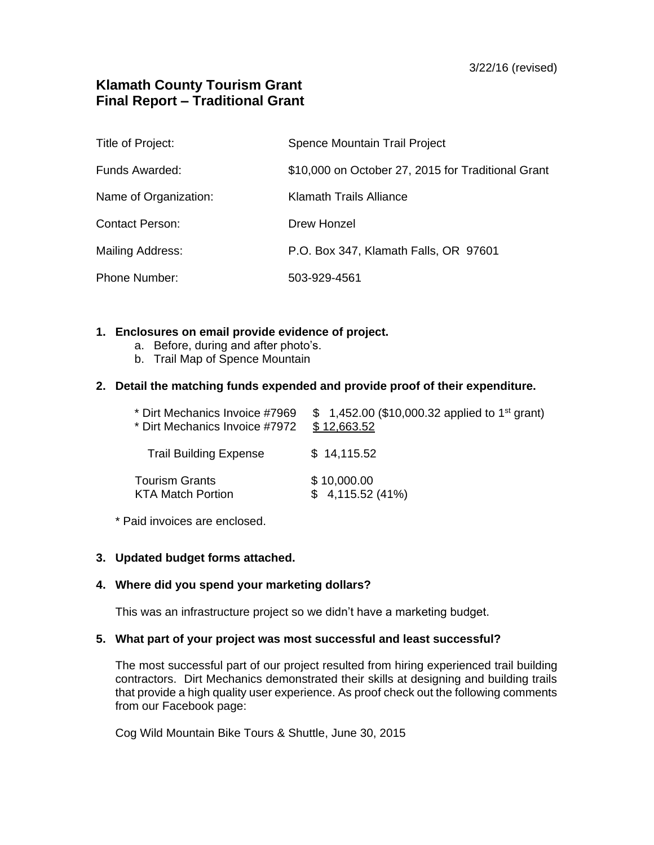# **Klamath County Tourism Grant Final Report – Traditional Grant**

| Title of Project:      | Spence Mountain Trail Project                      |
|------------------------|----------------------------------------------------|
| Funds Awarded:         | \$10,000 on October 27, 2015 for Traditional Grant |
| Name of Organization:  | Klamath Trails Alliance                            |
| <b>Contact Person:</b> | Drew Honzel                                        |
| Mailing Address:       | P.O. Box 347, Klamath Falls, OR 97601              |
| <b>Phone Number:</b>   | 503-929-4561                                       |

### **1. Enclosures on email provide evidence of project.**

- a. Before, during and after photo's.
- b. Trail Map of Spence Mountain

### **2. Detail the matching funds expended and provide proof of their expenditure.**

| * Dirt Mechanics Invoice #7969 | \$ 1,452.00 (\$10,000.32 applied to 1 <sup>st</sup> grant) |
|--------------------------------|------------------------------------------------------------|
| * Dirt Mechanics Invoice #7972 | \$12,663.52                                                |
| <b>Trail Building Expense</b>  | \$14,115.52                                                |
| <b>Tourism Grants</b>          | \$10,000.00                                                |
| <b>KTA Match Portion</b>       | \$4,115.52(41%)                                            |

\* Paid invoices are enclosed.

### **3. Updated budget forms attached.**

## **4. Where did you spend your marketing dollars?**

This was an infrastructure project so we didn't have a marketing budget.

#### **5. What part of your project was most successful and least successful?**

The most successful part of our project resulted from hiring experienced trail building contractors. Dirt Mechanics demonstrated their skills at designing and building trails that provide a high quality user experience. As proof check out the following comments from our Facebook page:

Cog Wild Mountain Bike Tours & Shuttle, June 30, 2015